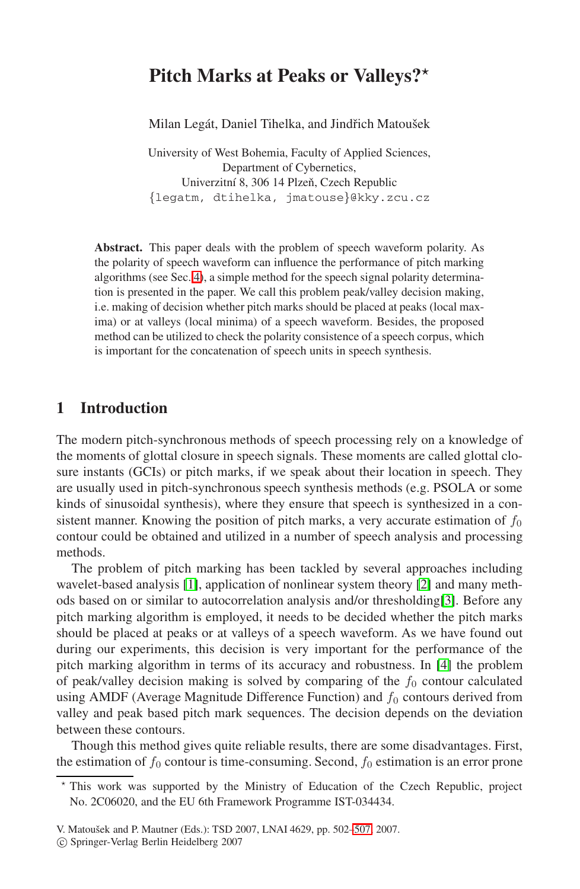# **Pitch Marks at Peaks or Valleys?***-*

Milan Legát, Daniel Tihelka, and Jindřich Matoušek

University of West Bohemia, Faculty of Applied Sciences, Department of Cybernetics, Univerzitní 8, 306 14 Plzeň, Czech Republic {legatm, dtihelka, jmatouse}@kky.zcu.cz

**Abstract.** This paper deals with the problem of speech waveform polarity. As the polarity of speech waveform can influence the performance of pitch marking algorithms (see Sec. [4\)](#page-3-0), a simple method for the speech signal polarity determination is presented in the paper. We call this problem peak/valley decision making, i.e. making of decision whether pitch marks should be placed at peaks (local maxima) or at valleys (local minima) of a speech waveform. Besides, the proposed method can be utilized to check the polarity consistence of a speech corpus, which is important for the concatenation of speech units in speech synthesis.

## **1 Introduction**

The modern pitch-synchronous methods of speech processing rely on a knowledge of the moments of glottal closure in speech signals. These moments are called glottal closure instants (GCIs) or pitch marks, if we speak about their location in speech. They are usually used in pitch-synchronous speech synthesis methods (e.g. PSOLA or some kinds of sinusoidal synthesis), where they ensure that speech is synthesized in a consistent manner. Knowing the position of pitch marks, a very accurate estimation of  $f_0$ contour could be obtained and utilized in a number of speech analysis and processing methods.

The problem of pitch marking has been tackled by several approaches including wavelet-based analysis [\[1\]](#page-5-0), application of nonlinear system theory [\[2\]](#page-5-1) and many methods based on or similar to autocorrelation analysis and/or thresholding[\[3\]](#page-5-2). Before any pitch marking algorithm is employed, it needs to be decided whether the pitch marks should be placed at peaks or at valleys of a speech waveform. As we have found out during our experiments, this decision is very important for the performance of the pitch marking algorithm in terms of its accuracy and robustness. In [\[4\]](#page-5-3) the problem of peak/valley decision making is solved by comparing of the  $f_0$  contour calculated using AMDF (Average Magnitude Difference Function) and  $f_0$  contours derived from valley and peak based pitch mark sequences. The decision depends on the deviation between these contours.

Though this method gives quite reliable results, there are some disadvantages. First, the estimation of  $f_0$  contour is time-consuming. Second,  $f_0$  estimation is an error prone

<sup>-</sup> This work was supported by the Ministry of Education of the Czech Republic, project No. 2C06020, and the EU 6th Framework Programme IST-034434.

V. Matoušek and P. Mautner (Eds.): TSD 2007, LNAI 4629, pp. 502-507, 2007.

<sup>-</sup>c Springer-Verlag Berlin Heidelberg 2007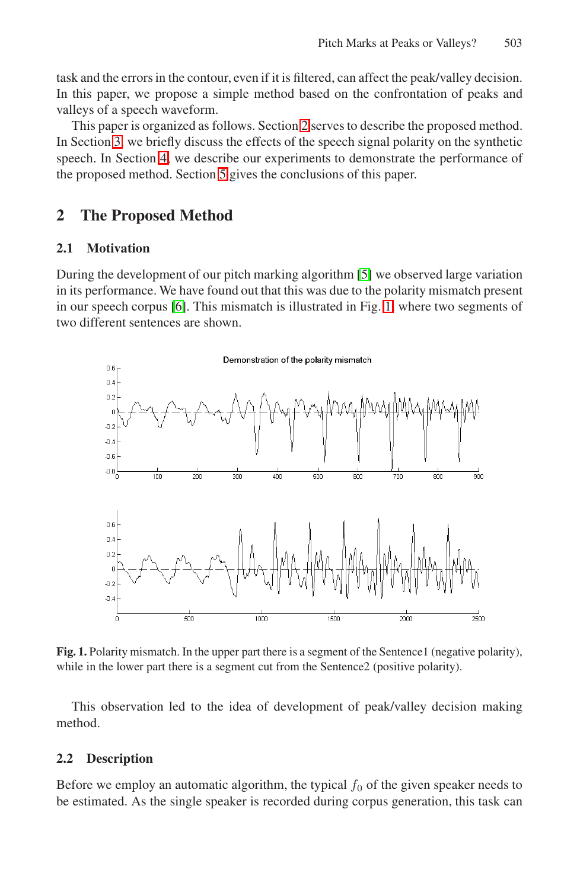task and the errors in the contour, even if it is filtered, can affect the peak/valley decision. In this paper, we propose a simple method based on the confrontation of peaks and valleys of a speech waveform.

This paper is organized as follows. Section [2](#page-1-0) serves to describe the proposed method. In Section [3,](#page-3-1) we briefly discuss the effects of the speech signal polarity on the synthetic speech. In Section [4,](#page-3-0) we describe our experiments to demonstrate the performance of the proposed method. Section [5](#page-5-5) gives the conclusions of this paper.

# <span id="page-1-0"></span>**2 The Proposed Method**

#### **2.1 Motivation**

During the development of our pitch marking algorithm [\[5\]](#page-5-6) we observed large variation in its performance. We have found out that this was due to the polarity mismatch present in our speech corpus [\[6\]](#page-5-7). This mismatch is illustrated in Fig. [1,](#page-1-1) where two segments of two different sentences are shown.



<span id="page-1-1"></span>**Fig. 1.** Polarity mismatch. In the upper part there is a segment of the Sentence1 (negative polarity), while in the lower part there is a segment cut from the Sentence2 (positive polarity).

This observation led to the idea of development of peak/valley decision making method.

#### **2.2 Description**

Before we employ an automatic algorithm, the typical  $f_0$  of the given speaker needs to be estimated. As the single speaker is recorded during corpus generation, this task can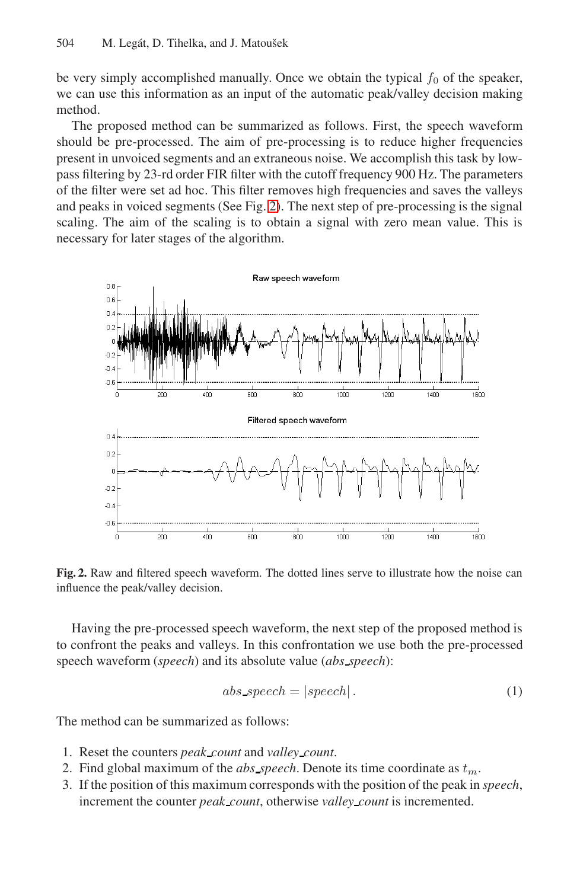be very simply accomplished manually. Once we obtain the typical  $f_0$  of the speaker, we can use this information as an input of the automatic peak/valley decision making method.

The proposed method can be summarized as follows. First, the speech waveform should be pre-processed. The aim of pre-processing is to reduce higher frequencies present in unvoiced segments and an extraneous noise. We accomplish this task by lowpass filtering by 23-rd order FIR filter with the cutoff frequency 900 Hz. The parameters of the filter were set ad hoc. This filter removes high frequencies and saves the valleys and peaks in voiced segments (See Fig. [2\)](#page-2-0). The next step of pre-processing is the signal scaling. The aim of the scaling is to obtain a signal with zero mean value. This is necessary for later stages of the algorithm.



<span id="page-2-0"></span>**Fig. 2.** Raw and filtered speech waveform. The dotted lines serve to illustrate how the noise can influence the peak/valley decision.

Having the pre-processed speech waveform, the next step of the proposed method is to confront the peaks and valleys. In this confrontation we use both the pre-processed speech waveform (*speech*) and its absolute value (*abs speech*):

$$
abs\_speedh = | speech|.
$$
 (1)

The method can be summarized as follows:

- 1. Reset the counters *peak count* and *valley count*.
- 2. Find global maximum of the *abs* speech. Denote its time coordinate as  $t_m$ .
- 3. If the position of this maximum corresponds with the position of the peak in *speech*, increment the counter *peak count*, otherwise *valley count* is incremented.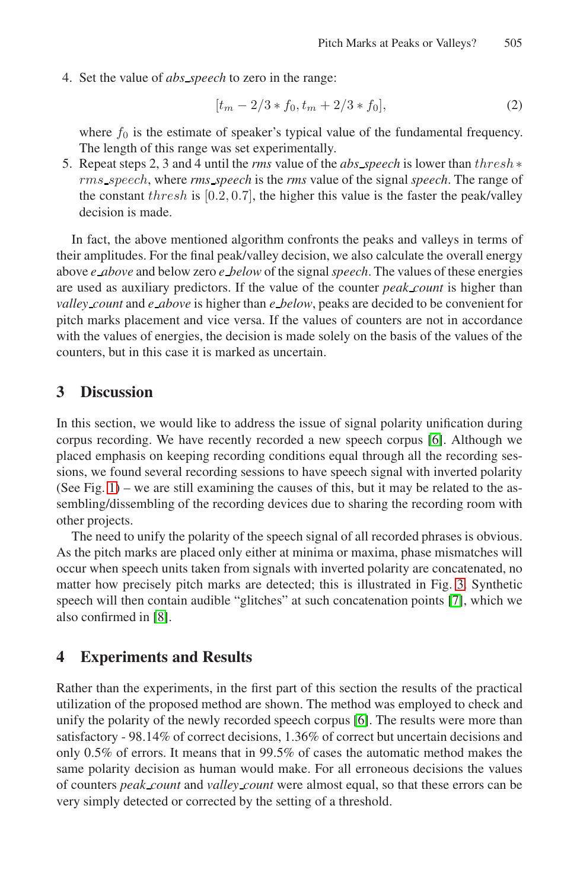4. Set the value of *abs speech* to zero in the range:

$$
[t_m - 2/3 * f_0, t_m + 2/3 * f_0],
$$
\n(2)

where  $f_0$  is the estimate of speaker's typical value of the fundamental frequency. The length of this range was set experimentally.

5. Repeat steps 2, 3 and 4 until the *rms* value of the *abs speech* is lower than thresh∗ rms speech, where *rms speech* is the *rms* value of the signal *speech*. The range of the constant thresh is  $[0.2, 0.7]$ , the higher this value is the faster the peak/valley decision is made.

In fact, the above mentioned algorithm confronts the peaks and valleys in terms of their amplitudes. For the final peak/valley decision, we also calculate the overall energy above *e above* and below zero *e below* of the signal*speech*. The values of these energies are used as auxiliary predictors. If the value of the counter *peak count* is higher than *valley count* and *e above* is higher than *e below*, peaks are decided to be convenient for pitch marks placement and vice versa. If the values of counters are not in accordance with the values of energies, the decision is made solely on the basis of the values of the counters, but in this case it is marked as uncertain.

## <span id="page-3-1"></span>**3 Discussion**

In this section, we would like to address the issue of signal polarity unification during corpus recording. We have recently recorded a new speech corpus [\[6\]](#page-5-7). Although we placed emphasis on keeping recording conditions equal through all the recording sessions, we found several recording sessions to have speech signal with inverted polarity (See Fig.  $1$ ) – we are still examining the causes of this, but it may be related to the assembling/dissembling of the recording devices due to sharing the recording room with other projects.

The need to unify the polarity of the speech signal of all recorded phrases is obvious. As the pitch marks are placed only either at minima or maxima, phase mismatches will occur when speech units taken from signals with inverted polarity are concatenated, no matter how precisely pitch marks are detected; this is illustrated in Fig. [3.](#page-4-0) Synthetic speech will then contain audible "glitches" at such concatenation points [\[7\]](#page-5-8), which we also confirmed in [\[8\]](#page-5-9).

## <span id="page-3-0"></span>**4 Experiments and Results**

Rather than the experiments, in the first part of this section the results of the practical utilization of the proposed method are shown. The method was employed to check and unify the polarity of the newly recorded speech corpus [\[6\]](#page-5-7). The results were more than satisfactory - 98.14% of correct decisions, 1.36% of correct but uncertain decisions and only 0.5% of errors. It means that in 99.5% of cases the automatic method makes the same polarity decision as human would make. For all erroneous decisions the values of counters *peak count* and *valley count* were almost equal, so that these errors can be very simply detected or corrected by the setting of a threshold.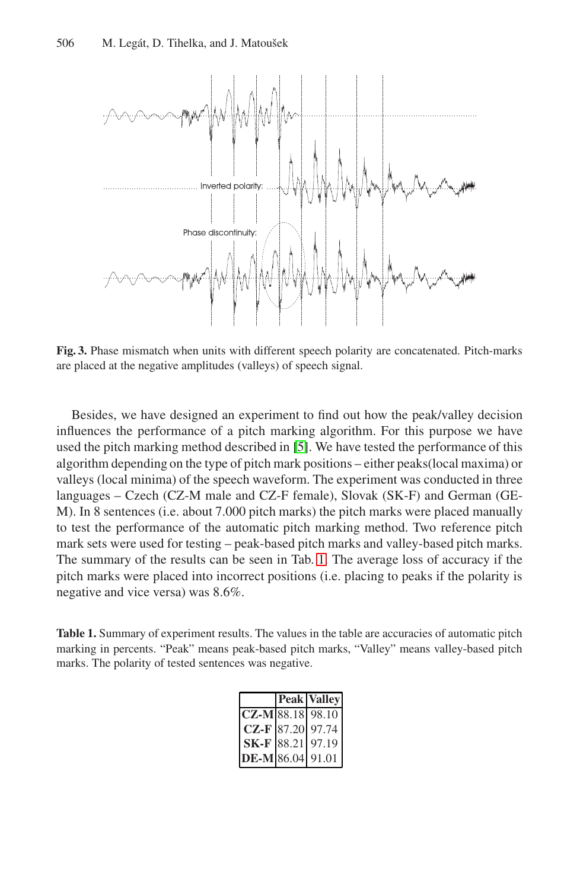

<span id="page-4-0"></span>**Fig. 3.** Phase mismatch when units with different speech polarity are concatenated. Pitch-marks are placed at the negative amplitudes (valleys) of speech signal.

Besides, we have designed an experiment to find out how the peak/valley decision influences the performance of a pitch marking algorithm. For this purpose we have used the pitch marking method described in [\[5\]](#page-5-6). We have tested the performance of this algorithm depending on the type of pitch mark positions – either peaks(local maxima) or valleys (local minima) of the speech waveform. The experiment was conducted in three languages – Czech (CZ-M male and CZ-F female), Slovak (SK-F) and German (GE-M). In 8 sentences (i.e. about 7.000 pitch marks) the pitch marks were placed manually to test the performance of the automatic pitch marking method. Two reference pitch mark sets were used for testing – peak-based pitch marks and valley-based pitch marks. The summary of the results can be seen in Tab. [1.](#page-4-1) The average loss of accuracy if the pitch marks were placed into incorrect positions (i.e. placing to peaks if the polarity is negative and vice versa) was 8.6%.

<span id="page-4-1"></span>**Table 1.** Summary of experiment results. The values in the table are accuracies of automatic pitch marking in percents. "Peak" means peak-based pitch marks, "Valley" means valley-based pitch marks. The polarity of tested sentences was negative.

|                  | <b>Peak Valley</b> |
|------------------|--------------------|
| CZ-M 88.18 98.10 |                    |
|                  | CZ-F 87.20 97.74   |
|                  | SK-F 88.21 97.19   |
| DE-M 86.04 91.01 |                    |